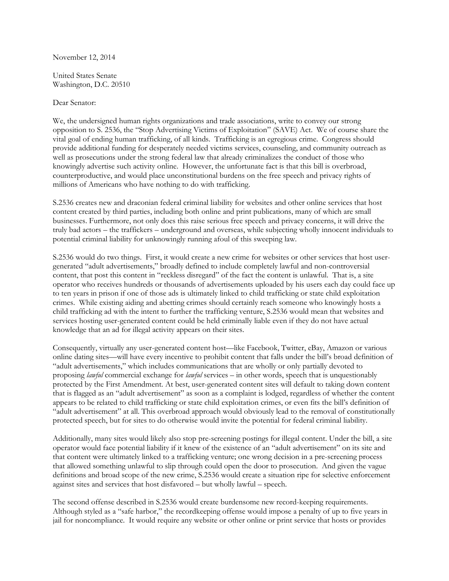November 12, 2014

United States Senate Washington, D.C. 20510

Dear Senator:

We, the undersigned human rights organizations and trade associations, write to convey our strong opposition to S. 2536, the "Stop Advertising Victims of Exploitation" (SAVE) Act. We of course share the vital goal of ending human trafficking, of all kinds. Trafficking is an egregious crime. Congress should provide additional funding for desperately needed victims services, counseling, and community outreach as well as prosecutions under the strong federal law that already criminalizes the conduct of those who knowingly advertise such activity online. However, the unfortunate fact is that this bill is overbroad, counterproductive, and would place unconstitutional burdens on the free speech and privacy rights of millions of Americans who have nothing to do with trafficking.

S.2536 creates new and draconian federal criminal liability for websites and other online services that host content created by third parties, including both online and print publications, many of which are small businesses. Furthermore, not only does this raise serious free speech and privacy concerns, it will drive the truly bad actors – the traffickers – underground and overseas, while subjecting wholly innocent individuals to potential criminal liability for unknowingly running afoul of this sweeping law.

S.2536 would do two things. First, it would create a new crime for websites or other services that host usergenerated "adult advertisements," broadly defined to include completely lawful and non-controversial content, that post this content in "reckless disregard" of the fact the content is unlawful. That is, a site operator who receives hundreds or thousands of advertisements uploaded by his users each day could face up to ten years in prison if one of those ads is ultimately linked to child trafficking or state child exploitation crimes. While existing aiding and abetting crimes should certainly reach someone who knowingly hosts a child trafficking ad with the intent to further the trafficking venture, S.2536 would mean that websites and services hosting user-generated content could be held criminally liable even if they do not have actual knowledge that an ad for illegal activity appears on their sites.

Consequently, virtually any user-generated content host—like Facebook, Twitter, eBay, Amazon or various online dating sites—will have every incentive to prohibit content that falls under the bill's broad definition of "adult advertisements," which includes communications that are wholly or only partially devoted to proposing *lawful* commercial exchange for *lawful* services – in other words, speech that is unquestionably protected by the First Amendment. At best, user-generated content sites will default to taking down content that is flagged as an "adult advertisement" as soon as a complaint is lodged, regardless of whether the content appears to be related to child trafficking or state child exploitation crimes, or even fits the bill's definition of "adult advertisement" at all. This overbroad approach would obviously lead to the removal of constitutionally protected speech, but for sites to do otherwise would invite the potential for federal criminal liability.

Additionally, many sites would likely also stop pre-screening postings for illegal content. Under the bill, a site operator would face potential liability if it knew of the existence of an "adult advertisement" on its site and that content were ultimately linked to a trafficking venture; one wrong decision in a pre-screening process that allowed something unlawful to slip through could open the door to prosecution. And given the vague definitions and broad scope of the new crime, S.2536 would create a situation ripe for selective enforcement against sites and services that host disfavored – but wholly lawful – speech.

The second offense described in S.2536 would create burdensome new record-keeping requirements. Although styled as a "safe harbor," the recordkeeping offense would impose a penalty of up to five years in jail for noncompliance. It would require any website or other online or print service that hosts or provides